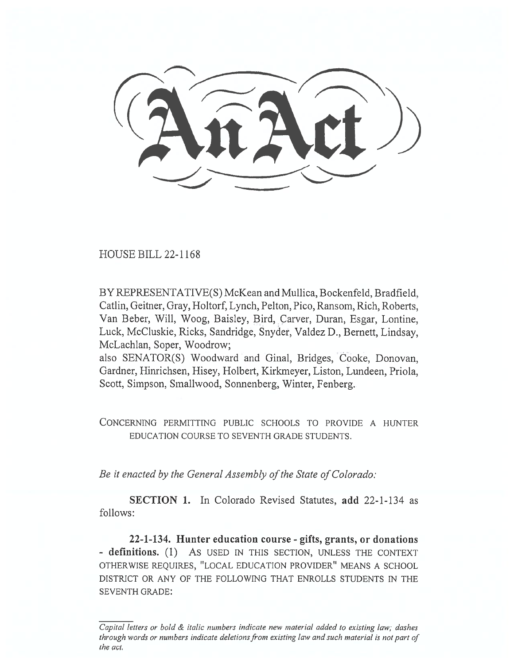HOUSE BILL 22-1168

BY REPRESENTATIVE(S) McKean and Mullica, Bockenfeld, Bradfield, Catlin, Geitner, Gray, Holtorf, Lynch, Pelton, Pico, Ransom, Rich, Roberts, Van Beber, Will, Woog, Baisley, Bird, Carver, Duran, Esgar, Lontine, Luck, McCluskie, Ricks, Sandridge, Snyder, Valdez D., Bernett, Lindsay, McLachlan, Soper, Woodrow;

also SENATOR(S) Woodward and Ginal, Bridges, Cooke, Donovan, Gardner, Hinrichsen, Hisey, Holbert, Kirkmeyer, Liston, Lundeen, Priola, Scott, Simpson, Smallwood, Sonnenberg, Winter, Fenberg.

CONCERNING PERMITTING PUBLIC SCHOOLS TO PROVIDE A HUNTER EDUCATION COURSE TO SEVENTH GRADE STUDENTS.

Be it enacted by the General Assembly of the State of Colorado:

SECTION 1. In Colorado Revised Statutes, add 22-1-134 as follows:

22-1-134. Hunter education course - gifts, grants, or donations - definitions. (1) As USED IN THIS SECTION, UNLESS THE CONTEXT OTHERWISE REQUIRES, "LOCAL EDUCATION PROVIDER" MEANS A SCHOOL DISTRICT OR ANY OF THE FOLLOWING THAT ENROLLS STUDENTS IN THE SEVENTH GRADE:

Capital letters or bold & italic numbers indicate new material added to existing law; dashes through words or numbers indicate deletions from existing law and such material is not part of the act.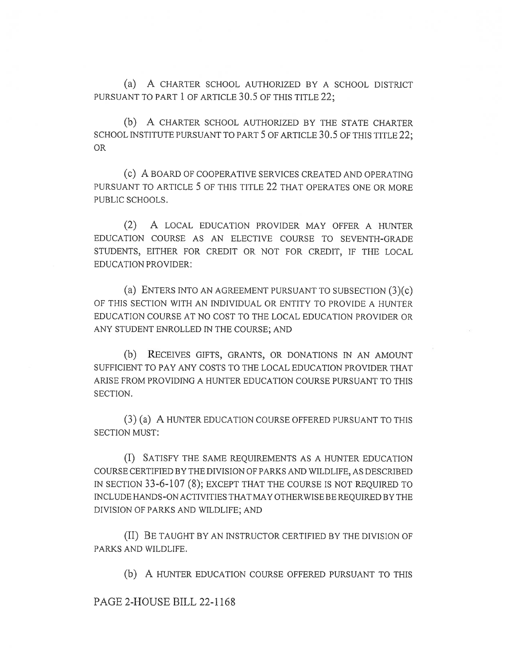(a) A CHARTER SCHOOL AUTHORIZED BY A SCHOOL DISTRICT PURSUANT TO PART 1 OF ARTICLE 30.5 OF THIS TITLE 22;

(b) A CHARTER SCHOOL AUTHORIZED BY THE STATE CHARTER SCHOOL INSTITUTE PURSUANT TO PART 5 OF ARTICLE 30.5 OF THIS TITLE 22: OR

(c) A BOARD OF COOPERATIVE SERVICES CREATED AND OPERATING PURSUANT TO ARTICLE 5 OF THIS TITLE 22 THAT OPERATES ONE OR MORE PUBLIC SCHOOLS.

(2) A LOCAL EDUCATION PROVIDER MAY OFFER A HUNTER EDUCATION COURSE AS AN ELECTIVE COURSE TO SEVENTH-GRADE STUDENTS, EITHER FOR CREDIT OR NOT FOR CREDIT, IF THE LOCAL EDUCATION PROVIDER:

(a) ENTERS INTO AN AGREEMENT PURSUANT TO SUBSECTION (3)(c) OF THIS SECTION WITH AN INDIVIDUAL OR ENTITY TO PROVIDE A HUNTER EDUCATION COURSE AT NO COST TO THE LOCAL EDUCATION PROVIDER OR ANY STUDENT ENROLLED IN THE COURSE; AND

(b) RECEIVES GIFTS, GRANTS, OR DONATIONS IN AN AMOUNT SUFFICIENT TO PAY ANY COSTS TO THE LOCAL EDUCATION PROVIDER THAT ARISE FROM PROVIDING A HUNTER EDUCATION COURSE PURSUANT TO THIS SECTION.

(3) (a) A HUNTER EDUCATION COURSE OFFERED PURSUANT TO THIS SECTION MUST:

(I) SATISFY THE SAME REQUIREMENTS AS A HUNTER EDUCATION COURSE CERTIFIED BY THE DIVISION OF PARKS AND WILDLIFE, AS DESCRIBED IN SECTION 33-6-107 (8); EXCEPT THAT THE COURSE IS NOT REQUIRED TO INCLUDE HANDS-ON ACTIVITIES THAT MAY OTHERWISE BE REQUIRED BY THE DIVISION OF PARKS AND WILDLIFE; AND

(II) BE TAUGHT BY AN INSTRUCTOR CERTIFIED BY THE DIVISION OF PARKS AND WILDLIFE.

(b) A HUNTER EDUCATION COURSE OFFERED PURSUANT TO THIS

PAGE 2-HOUSE BILL 22-1168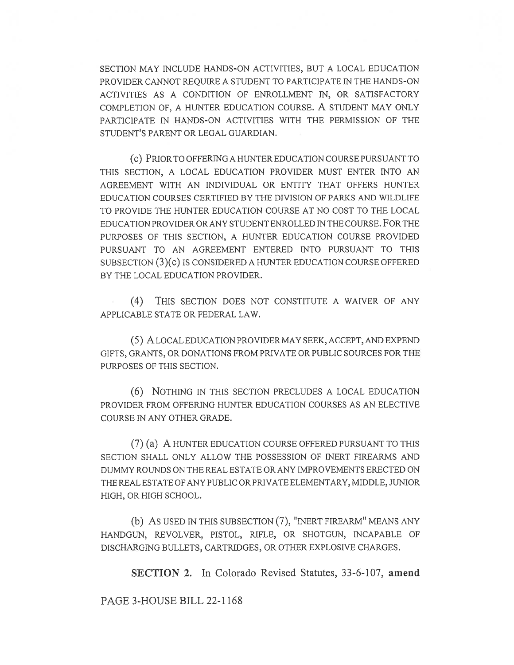SECTION MAY INCLUDE HANDS-ON ACTIVITIES, BUT A LOCAL EDUCATION PROVIDER CANNOT REQUIRE A STUDENT TO PARTICIPATE IN THE HANDS-ON ACTIVITIES AS A CONDITION OF ENROLLMENT IN, OR SATISFACTORY COMPLETION OF, A HUNTER EDUCATION COURSE. A STUDENT MAY ONLY PARTICIPATE IN HANDS-ON ACTIVITIES WITH THE PERMISSION OF THE STUDENT'S PARENT OR LEGAL GUARDIAN.

(c) PRIOR TO OFFERING A HUNTER EDUCATION COURSE PURSUANT TO THIS SECTION, A LOCAL EDUCATION PROVIDER MUST ENTER INTO AN AGREEMENT WITH AN INDIVIDUAL OR ENTITY THAT OFFERS HUNTER EDUCATION COURSES CERTIFIED BY THE DIVISION OF PARKS AND WILDLIFE TO PROVIDE THE HUNTER EDUCATION COURSE AT NO COST TO THE LOCAL EDUCATION PROVIDER OR ANY STUDENT ENROLLED IN THE COURSE. FOR THE PURPOSES OF THIS SECTION, A HUNTER EDUCATION COURSE PROVIDED PURSUANT TO AN AGREEMENT ENTERED INTO PURSUANT TO THIS SUBSECTION (3)(c) IS CONSIDERED A HUNTER EDUCATION COURSE OFFERED BY THE LOCAL EDUCATION PROVIDER.

(4) THIS SECTION DOES NOT CONSTITUTE A WAIVER OF ANY APPLICABLE STATE OR FEDERAL LAW.

(5) A LOCAL EDUCATION PROVIDER MAY SEEK, ACCEPT, AND EXPEND GIFTS, GRANTS, OR DONATIONS FROM PRIVATE OR PUBLIC SOURCES FOR THE PURPOSES OF THIS SECTION.

(6) NOTHING IN THIS SECTION PRECLUDES A LOCAL EDUCATION PROVIDER FROM OFFERING HUNTER EDUCATION COURSES AS AN ELECTIVE COURSE IN ANY OTHER GRADE.

(7) (a) A HUNTER EDUCATION COURSE OFFERED PURSUANT TO THIS SECTION SHALL ONLY ALLOW THE POSSESSION OF INERT FIREARMS AND DUMMY ROUNDS ON THE REAL ESTATE OR ANY IMPROVEMENTS ERECTED ON THE REAL ESTATE OF ANY PUBLIC OR PRIVATE ELEMENTARY, MIDDLE, JUNIOR HIGH, OR HIGH SCHOOL.

(b) AS USED IN THIS SUBSECTION (7), "INERT FIREARM" MEANS ANY HANDGUN, REVOLVER, PISTOL, RIFLE, OR SHOTGUN, INCAPABLE OF DISCHARGING BULLETS, CARTRIDGES, OR OTHER EXPLOSIVE CHARGES.

SECTION 2. In Colorado Revised Statutes, 33-6-107, amend

PAGE 3-HOUSE BILL 22-1168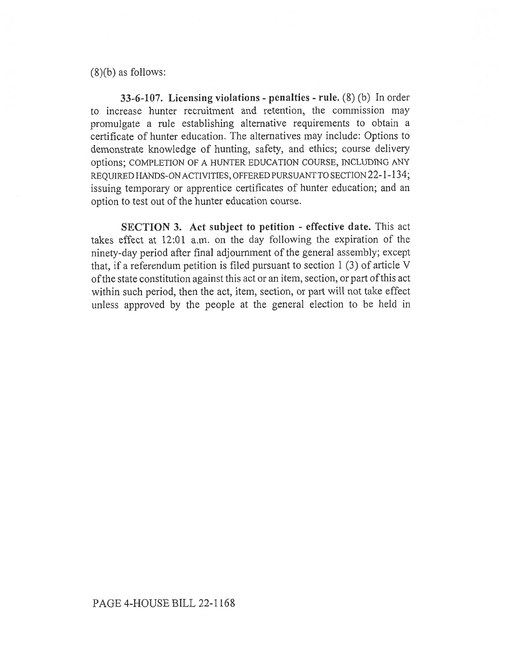(8)(b) as follows:

33-6-107. Licensing violations - penalties - rule. (8) (b) In order to increase hunter recruitment and retention, the commission may promulgate a rule establishing alternative requirements to obtain a certificate of hunter education. The alternatives may include: Options to demonstrate knowledge of hunting, safety, and ethics; course delivery options; COMPLETION OF A HUNTER EDUCATION COURSE, INCLUDING ANY REQUIRED HANDS-ON ACTIVITIES, OFFERED PURSUANT TO SECTION 22-1-134; issuing temporary or apprentice certificates of hunter education; and an option to test out of the hunter education course.

SECTION 3. Act subject to petition - effective date. This act takes effect at 12:01 a.m. on the day following the expiration of the ninety-day period after final adjournment of the general assembly; except that, if a referendum petition is filed pursuant to section 1 (3) of article V of the state constitution against this act or an item, section, or part of this act within such period, then the act, item, section, or part will not take effect unless approved by the people at the general election to be held in